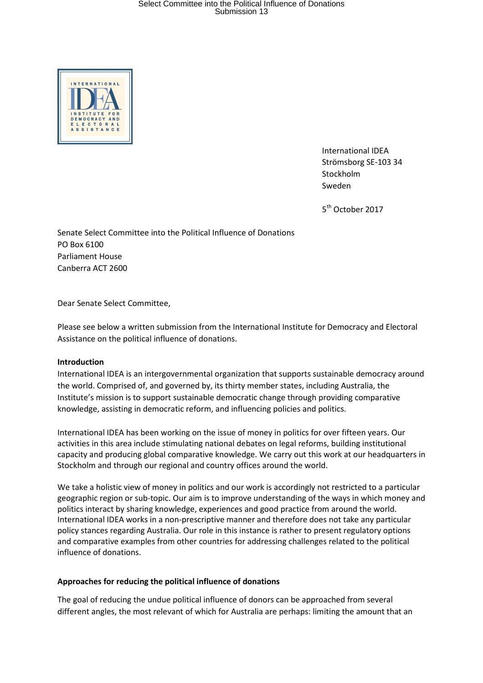

International IDEA Strömsborg SE-103 34 Stockholm Sweden

5<sup>th</sup> October 2017

Senate Select Committee into the Political Influence of Donations PO Box 6100 Parliament House Canberra ACT 2600

Dear Senate Select Committee,

Please see below a written submission from the International Institute for Democracy and Electoral Assistance on the political influence of donations.

### Introduction

International IDEA is an intergovernmental organization that supports sustainable democracy around the world. Comprised of, and governed by, its thirty member states, including Australia, the Institute's mission is to support sustainable democratic change through providing comparative knowledge, assisting in democratic reform, and influencing policies and politics.

International IDEA has been working on the issue of money in politics for over fifteen years. Our activities in this area include stimulating national debates on legal reforms, building institutional capacity and producing global comparative knowledge. We carry out this work at our headquarters in Stockholm and through our regional and country offices around the world.

We take a holistic view of money in politics and our work is accordingly not restricted to a particular geographic region or sub-topic. Our aim is to improve understanding of the ways in which money and politics interact by sharing knowledge, experiences and good practice from around the world. International IDEA works in a non-prescriptive manner and therefore does not take any particular policy stances regarding Australia. Our role in this instance is rather to present regulatory options and comparative examples from other countries for addressing challenges related to the political influence of donations.

### Approaches for reducing the political influence of donations

The goal of reducing the undue political influence of donors can be approached from several different angles, the most relevant of which for Australia are perhaps: limiting the amount that an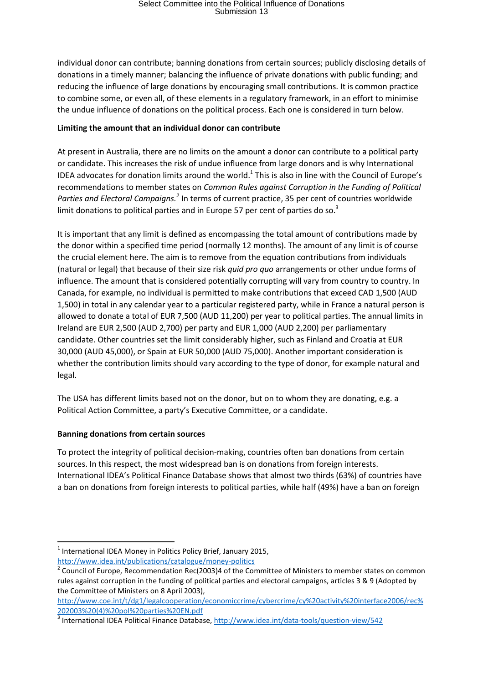individual donor can contribute; banning donations from certain sources; publicly disclosing details of donations in a timely manner; balancing the influence of private donations with public funding; and reducing the influence of large donations by encouraging small contributions. It is common practice to combine some, or even all, of these elements in a regulatory framework, in an effort to minimise the undue influence of donations on the political process. Each one is considered in turn below.

## Limiting the amount that an individual donor can contribute

At present in Australia, there are no limits on the amount a donor can contribute to a political party or candidate. This increases the risk of undue influence from large donors and is why International IDEA advocates for donation limits around the world.<sup>1</sup> This is also in line with the Council of Europe's recommendations to member states on Common Rules against Corruption in the Funding of Political Parties and Electoral Campaigns.<sup>2</sup> In terms of current practice, 35 per cent of countries worldwide limit donations to political parties and in Europe 57 per cent of parties do so. $3$ 

It is important that any limit is defined as encompassing the total amount of contributions made by the donor within a specified time period (normally 12 months). The amount of any limit is of course the crucial element here. The aim is to remove from the equation contributions from individuals (natural or legal) that because of their size risk quid pro quo arrangements or other undue forms of influence. The amount that is considered potentially corrupting will vary from country to country. In Canada, for example, no individual is permitted to make contributions that exceed CAD 1,500 (AUD 1,500) in total in any calendar year to a particular registered party, while in France a natural person is allowed to donate a total of EUR 7,500 (AUD 11,200) per year to political parties. The annual limits in Ireland are EUR 2,500 (AUD 2,700) per party and EUR 1,000 (AUD 2,200) per parliamentary candidate. Other countries set the limit considerably higher, such as Finland and Croatia at EUR 30,000 (AUD 45,000), or Spain at EUR 50,000 (AUD 75,000). Another important consideration is whether the contribution limits should vary according to the type of donor, for example natural and legal.

The USA has different limits based not on the donor, but on to whom they are donating, e.g. a Political Action Committee, a party's Executive Committee, or a candidate.

## Banning donations from certain sources

To protect the integrity of political decision-making, countries often ban donations from certain sources. In this respect, the most widespread ban is on donations from foreign interests. International IDEA's Political Finance Database shows that almost two thirds (63%) of countries have a ban on donations from foreign interests to political parties, while half (49%) have a ban on foreign

 $<sup>1</sup>$  International IDEA Money in Politics Policy Brief, January 2015,</sup> http://www.idea.int/publications/catalogue/money-politics

<sup>&</sup>lt;sup>2</sup> Council of Europe, Recommendation Rec(2003)4 of the Committee of Ministers to member states on common rules against corruption in the funding of political parties and electoral campaigns, articles 3 & 9 (Adopted by the Committee of Ministers on 8 April 2003),

http://www.coe.int/t/dg1/legalcooperation/economiccrime/cybercrime/cy%20activity%20interface2006/rec% 202003%20(4)%20pol%20parties%20EN.pdf

<sup>&</sup>lt;sup>3</sup> International IDEA Political Finance Database, http://www.idea.int/data-tools/question-view/542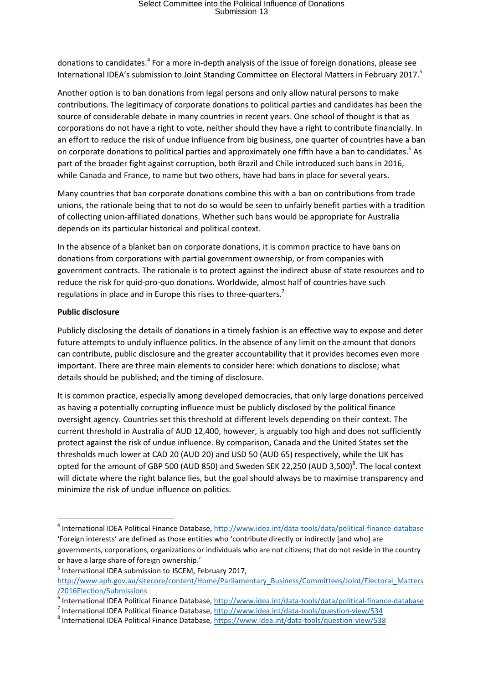donations to candidates.<sup>4</sup> For a more in-depth analysis of the issue of foreign donations, please see International IDEA's submission to Joint Standing Committee on Electoral Matters in February 2017.<sup>5</sup>

Another option is to ban donations from legal persons and only allow natural persons to make contributions. The legitimacy of corporate donations to political parties and candidates has been the source of considerable debate in many countries in recent years. One school of thought is that as corporations do not have a right to vote, neither should they have a right to contribute financially. In an effort to reduce the risk of undue influence from big business, one quarter of countries have a ban on corporate donations to political parties and approximately one fifth have a ban to candidates.<sup>6</sup> As part of the broader fight against corruption, both Brazil and Chile introduced such bans in 2016, while Canada and France, to name but two others, have had bans in place for several years.

Many countries that ban corporate donations combine this with a ban on contributions from trade unions, the rationale being that to not do so would be seen to unfairly benefit parties with a tradition of collecting union-affiliated donations. Whether such bans would be appropriate for Australia depends on its particular historical and political context.

In the absence of a blanket ban on corporate donations, it is common practice to have bans on donations from corporations with partial government ownership, or from companies with government contracts. The rationale is to protect against the indirect abuse of state resources and to reduce the risk for quid-pro-quo donations. Worldwide, almost half of countries have such regulations in place and in Europe this rises to three-quarters.<sup>7</sup>

### Public disclosure

l

Publicly disclosing the details of donations in a timely fashion is an effective way to expose and deter future attempts to unduly influence politics. In the absence of any limit on the amount that donors can contribute, public disclosure and the greater accountability that it provides becomes even more important. There are three main elements to consider here: which donations to disclose; what details should be published; and the timing of disclosure.

It is common practice, especially among developed democracies, that only large donations perceived as having a potentially corrupting influence must be publicly disclosed by the political finance oversight agency. Countries set this threshold at different levels depending on their context. The current threshold in Australia of AUD 12,400, however, is arguably too high and does not sufficiently protect against the risk of undue influence. By comparison, Canada and the United States set the thresholds much lower at CAD 20 (AUD 20) and USD 50 (AUD 65) respectively, while the UK has opted for the amount of GBP 500 (AUD 850) and Sweden SEK 22,250 (AUD 3,500)<sup>8</sup>. The local context will dictate where the right balance lies, but the goal should always be to maximise transparency and minimize the risk of undue influence on politics.

<sup>&</sup>lt;sup>4</sup> International IDEA Political Finance Database, http://www.idea.int/data-tools/data/political-finance-database 'Foreign interests' are defined as those entities who 'contribute directly or indirectly [and who] are governments, corporations, organizations or individuals who are not citizens; that do not reside in the country or have a large share of foreign ownership.'

<sup>&</sup>lt;sup>5</sup> International IDEA submission to JSCEM, February 2017, http://www.aph.gov.au/sitecore/content/Home/Parliamentary\_Business/Committees/Joint/Electoral\_Matters /2016Election/Submissions

<sup>6</sup> International IDEA Political Finance Database, http://www.idea.int/data-tools/data/political-finance-database

<sup>&</sup>lt;sup>7</sup> International IDEA Political Finance Database, http://www.idea.int/data-tools/question-view/534

<sup>&</sup>lt;sup>8</sup> International IDEA Political Finance Database, https://www.idea.int/data-tools/question-view/538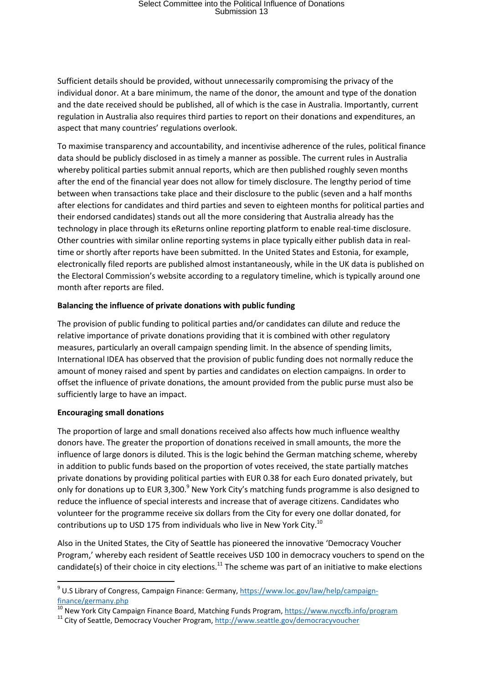Sufficient details should be provided, without unnecessarily compromising the privacy of the individual donor. At a bare minimum, the name of the donor, the amount and type of the donation and the date received should be published, all of which is the case in Australia. Importantly, current regulation in Australia also requires third parties to report on their donations and expenditures, an aspect that many countries' regulations overlook.

To maximise transparency and accountability, and incentivise adherence of the rules, political finance data should be publicly disclosed in as timely a manner as possible. The current rules in Australia whereby political parties submit annual reports, which are then published roughly seven months after the end of the financial year does not allow for timely disclosure. The lengthy period of time between when transactions take place and their disclosure to the public (seven and a half months after elections for candidates and third parties and seven to eighteen months for political parties and their endorsed candidates) stands out all the more considering that Australia already has the technology in place through its eReturns online reporting platform to enable real-time disclosure. Other countries with similar online reporting systems in place typically either publish data in realtime or shortly after reports have been submitted. In the United States and Estonia, for example, electronically filed reports are published almost instantaneously, while in the UK data is published on the Electoral Commission's website according to a regulatory timeline, which is typically around one month after reports are filed.

### Balancing the influence of private donations with public funding

The provision of public funding to political parties and/or candidates can dilute and reduce the relative importance of private donations providing that it is combined with other regulatory measures, particularly an overall campaign spending limit. In the absence of spending limits, International IDEA has observed that the provision of public funding does not normally reduce the amount of money raised and spent by parties and candidates on election campaigns. In order to offset the influence of private donations, the amount provided from the public purse must also be sufficiently large to have an impact.

### Encouraging small donations

l

The proportion of large and small donations received also affects how much influence wealthy donors have. The greater the proportion of donations received in small amounts, the more the influence of large donors is diluted. This is the logic behind the German matching scheme, whereby in addition to public funds based on the proportion of votes received, the state partially matches private donations by providing political parties with EUR 0.38 for each Euro donated privately, but only for donations up to EUR 3,300.<sup>9</sup> New York City's matching funds programme is also designed to reduce the influence of special interests and increase that of average citizens. Candidates who volunteer for the programme receive six dollars from the City for every one dollar donated, for contributions up to USD 175 from individuals who live in New York City.<sup>10</sup>

Also in the United States, the City of Seattle has pioneered the innovative 'Democracy Voucher Program,' whereby each resident of Seattle receives USD 100 in democracy vouchers to spend on the candidate(s) of their choice in city elections.<sup>11</sup> The scheme was part of an initiative to make elections

<sup>&</sup>lt;sup>9</sup> U.S Library of Congress, Campaign Finance: Germany, https://www.loc.gov/law/help/campaignfinance/germany.php

<sup>&</sup>lt;sup>10</sup> New York City Campaign Finance Board, Matching Funds Program, https://www.nyccfb.info/program

<sup>&</sup>lt;sup>11</sup> Citv of Seattle, Democracy Voucher Program, http://www.seattle.gov/democracyvoucher